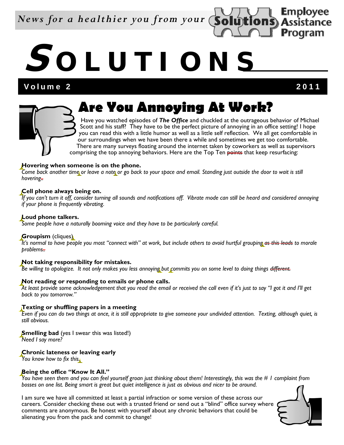### *News for a healthier you from your*

# **S OLUTIONS**

#### Volume 2 2011

**Employee** Assistan

Program



## **Are You Annoying At Work?**

Have you watched episodes of *The Office* and chuckled at the outrageous behavior of Michael Scott and his staff? They have to be the perfect picture of annoying in an office setting! I hope you can read this with a little humor as well as a little self reflection. We all get comfortable in our surroundings when we have been there a while and sometimes we get too comfortable. There are many surveys floating around the internet taken by coworkers as well as supervisors comprising the top annoying behaviors. Here are the Top Ten points that keep resurfacing:

#### **Hovering when someone is on the phone.**

*Come back another time or leave a note or go back to your space and email. Standing just outside the door to wait is still hovering..* 

#### **Cell phone always being on.**

*If you can't turn it off, consider turning all sounds and notifications off. Vibrate mode can still be heard and considered annoying if your phone is frequently vibrating.* 

#### **Loud phone talkers.**

*Some people have a naturally booming voice and they have to be particularly careful.* 

#### **Groupism** (cliques)

*It's normal to have people you most "connect with" at work, but include others to avoid hurtful grouping as this leads to morale problems..* 

#### **Not taking responsibility for mistakes.**

*Be willing to apologize. It not only makes you less annoying but commits you on some level to doing things different.* 

#### **Not reading or responding to emails or phone calls.**

*At least provide some acknowledgement that you read the email or received the call even if it's just to say "I got it and I'll get back to you tomorrow."* 

#### **Texting or shuffling papers in a meeting**

*Even if you can do two things at once, it is still appropriate to give someone your undivided attention. Texting, although quiet, is still obvious.* 

#### **Smelling bad** (yes I swear this was listed!)

*Need I say more?* 

#### **Chronic lateness or leaving early**

*You know how to fix this.* 

#### **Being the office "Know It All."**

*You have seen them and you can feel yourself groan just thinking about them! Interestingly, this was the # 1 complaint from bosses on one list. Being smart is great but quiet intelligence is just as obvious and nicer to be around.* 

I am sure we have all committed at least a partial infraction or some version of these across our careers. Consider checking these out with a trusted friend or send out a "blind" office survey where comments are anonymous. Be honest with yourself about any chronic behaviors that could be alienating you from the pack and commit to change!